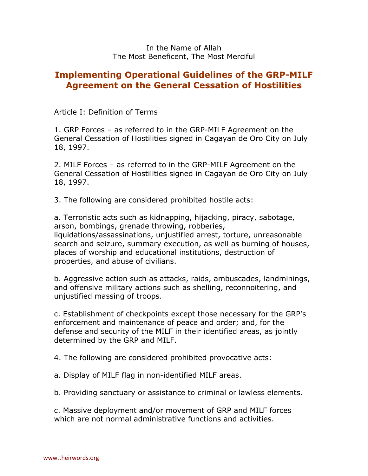## **Implementing Operational Guidelines of the GRP-MILF Agreement on the General Cessation of Hostilities**

Article I: Definition of Terms

1. GRP Forces – as referred to in the GRP-MILF Agreement on the General Cessation of Hostilities signed in Cagayan de Oro City on July 18, 1997.

2. MILF Forces – as referred to in the GRP-MILF Agreement on the General Cessation of Hostilities signed in Cagayan de Oro City on July 18, 1997.

3. The following are considered prohibited hostile acts:

a. Terroristic acts such as kidnapping, hijacking, piracy, sabotage, arson, bombings, grenade throwing, robberies, liquidations/assassinations, unjustified arrest, torture, unreasonable search and seizure, summary execution, as well as burning of houses, places of worship and educational institutions, destruction of properties, and abuse of civilians.

b. Aggressive action such as attacks, raids, ambuscades, landminings, and offensive military actions such as shelling, reconnoitering, and unjustified massing of troops.

c. Establishment of checkpoints except those necessary for the GRP's enforcement and maintenance of peace and order; and, for the defense and security of the MILF in their identified areas, as jointly determined by the GRP and MILF.

4. The following are considered prohibited provocative acts:

a. Display of MILF flag in non-identified MILF areas.

b. Providing sanctuary or assistance to criminal or lawless elements.

c. Massive deployment and/or movement of GRP and MILF forces which are not normal administrative functions and activities.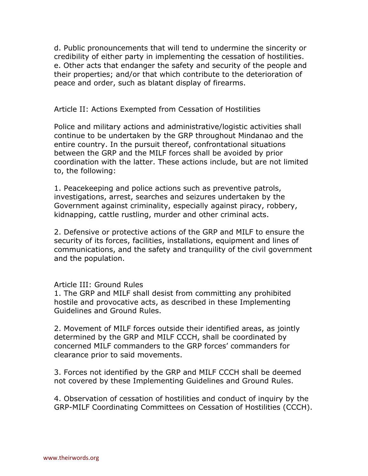d. Public pronouncements that will tend to undermine the sincerity or credibility of either party in implementing the cessation of hostilities. e. Other acts that endanger the safety and security of the people and their properties; and/or that which contribute to the deterioration of peace and order, such as blatant display of firearms.

## Article II: Actions Exempted from Cessation of Hostilities

Police and military actions and administrative/logistic activities shall continue to be undertaken by the GRP throughout Mindanao and the entire country. In the pursuit thereof, confrontational situations between the GRP and the MILF forces shall be avoided by prior coordination with the latter. These actions include, but are not limited to, the following:

1. Peacekeeping and police actions such as preventive patrols, investigations, arrest, searches and seizures undertaken by the Government against criminality, especially against piracy, robbery, kidnapping, cattle rustling, murder and other criminal acts.

2. Defensive or protective actions of the GRP and MILF to ensure the security of its forces, facilities, installations, equipment and lines of communications, and the safety and tranquility of the civil government and the population.

## Article III: Ground Rules

1. The GRP and MILF shall desist from committing any prohibited hostile and provocative acts, as described in these Implementing Guidelines and Ground Rules.

2. Movement of MILF forces outside their identified areas, as jointly determined by the GRP and MILF CCCH, shall be coordinated by concerned MILF commanders to the GRP forces' commanders for clearance prior to said movements.

3. Forces not identified by the GRP and MILF CCCH shall be deemed not covered by these Implementing Guidelines and Ground Rules.

4. Observation of cessation of hostilities and conduct of inquiry by the GRP-MILF Coordinating Committees on Cessation of Hostilities (CCCH).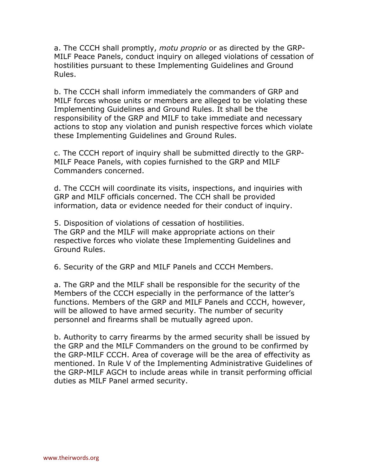a. The CCCH shall promptly, *motu proprio* or as directed by the GRP-MILF Peace Panels, conduct inquiry on alleged violations of cessation of hostilities pursuant to these Implementing Guidelines and Ground Rules.

b. The CCCH shall inform immediately the commanders of GRP and MILF forces whose units or members are alleged to be violating these Implementing Guidelines and Ground Rules. It shall be the responsibility of the GRP and MILF to take immediate and necessary actions to stop any violation and punish respective forces which violate these Implementing Guidelines and Ground Rules.

c. The CCCH report of inquiry shall be submitted directly to the GRP-MILF Peace Panels, with copies furnished to the GRP and MILF Commanders concerned.

d. The CCCH will coordinate its visits, inspections, and inquiries with GRP and MILF officials concerned. The CCH shall be provided information, data or evidence needed for their conduct of inquiry.

5. Disposition of violations of cessation of hostilities. The GRP and the MILF will make appropriate actions on their respective forces who violate these Implementing Guidelines and Ground Rules.

6. Security of the GRP and MILF Panels and CCCH Members.

a. The GRP and the MILF shall be responsible for the security of the Members of the CCCH especially in the performance of the latter's functions. Members of the GRP and MILF Panels and CCCH, however, will be allowed to have armed security. The number of security personnel and firearms shall be mutually agreed upon.

b. Authority to carry firearms by the armed security shall be issued by the GRP and the MILF Commanders on the ground to be confirmed by the GRP-MILF CCCH. Area of coverage will be the area of effectivity as mentioned. In Rule V of the Implementing Administrative Guidelines of the GRP-MILF AGCH to include areas while in transit performing official duties as MILF Panel armed security.